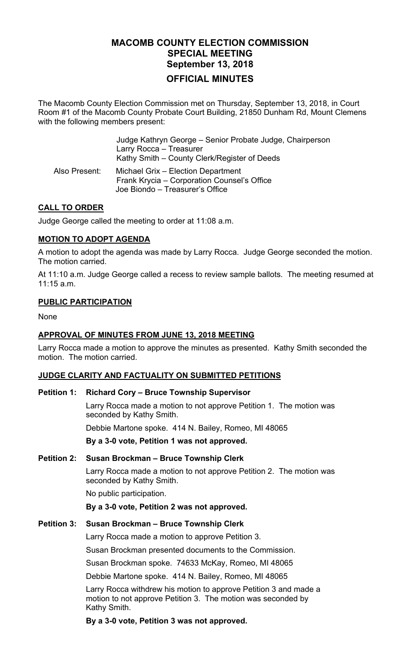# **MACOMB COUNTY ELECTION COMMISSION SPECIAL MEETING September 13, 2018 OFFICIAL MINUTES**

The Macomb County Election Commission met on Thursday, September 13, 2018, in Court Room #1 of the Macomb County Probate Court Building, 21850 Dunham Rd, Mount Clemens with the following members present:

|               | Judge Kathryn George - Senior Probate Judge, Chairperson<br>Larry Rocca - Treasurer<br>Kathy Smith – County Clerk/Register of Deeds |
|---------------|-------------------------------------------------------------------------------------------------------------------------------------|
| Also Present: | Michael Grix - Election Department<br>Frank Krycia - Corporation Counsel's Office<br>Joe Biondo – Treasurer's Office                |

### **CALL TO ORDER**

Judge George called the meeting to order at 11:08 a.m.

### **MOTION TO ADOPT AGENDA**

A motion to adopt the agenda was made by Larry Rocca. Judge George seconded the motion. The motion carried.

At 11:10 a.m. Judge George called a recess to review sample ballots. The meeting resumed at 11:15 a.m.

### **PUBLIC PARTICIPATION**

None

### **APPROVAL OF MINUTES FROM JUNE 13, 2018 MEETING**

Larry Rocca made a motion to approve the minutes as presented. Kathy Smith seconded the motion. The motion carried.

### **JUDGE CLARITY AND FACTUALITY ON SUBMITTED PETITIONS**

#### **Petition 1: Richard Cory – Bruce Township Supervisor**

Larry Rocca made a motion to not approve Petition 1. The motion was seconded by Kathy Smith.

Debbie Martone spoke. 414 N. Bailey, Romeo, MI 48065

**By a 3-0 vote, Petition 1 was not approved.** 

#### **Petition 2: Susan Brockman – Bruce Township Clerk**

Larry Rocca made a motion to not approve Petition 2. The motion was seconded by Kathy Smith.

No public participation.

**By a 3-0 vote, Petition 2 was not approved.** 

### **Petition 3: Susan Brockman – Bruce Township Clerk**

Larry Rocca made a motion to approve Petition 3.

Susan Brockman presented documents to the Commission.

Susan Brockman spoke. 74633 McKay, Romeo, MI 48065

Debbie Martone spoke. 414 N. Bailey, Romeo, MI 48065

Larry Rocca withdrew his motion to approve Petition 3 and made a motion to not approve Petition 3. The motion was seconded by Kathy Smith.

**By a 3-0 vote, Petition 3 was not approved.**